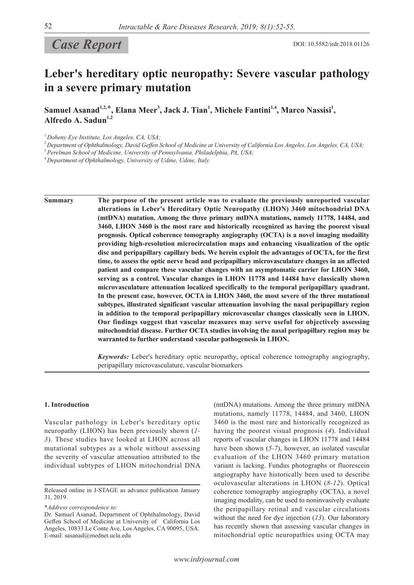# **Case Report** DOI: 10.5582/irdr.2018.01126

# **Leber's hereditary optic neuropathy: Severe vascular pathology in a severe primary mutation**

Samuel Asanad<sup>1,2,\*</sup>, Elana Meer<sup>3</sup>, Jack J. Tian<sup>1</sup>, Michele Fantini<sup>1,4</sup>, Marco Nassisi<sup>1</sup>, **Alfredo A. Sadun1,2**

<sup>1</sup>*Doheny Eye Institute, Los Angeles, CA, USA;*

<sup>2</sup>*Department of Ophthalmology, David Geffen School of Medicine at University of California Los Angeles, Los Angeles, CA, USA;*

<sup>3</sup>*Perelman School of Medicine, University of Pennsylvania, Philadelphia, PA, USA;*

<sup>4</sup>*Department of Ophthalmology, University of Udine, Udine, Italy.*

**Summary The purpose of the present article was to evaluate the previously unreported vascular alterations in Leber's Hereditary Optic Neuropathy (LHON) 3460 mitochondrial DNA (mtDNA) mutation. Among the three primary mtDNA mutations, namely 11778, 14484, and 3460, LHON 3460 is the most rare and historically recognized as having the poorest visual prognosis. Optical coherence tomography angiography (OCTA) is a novel imaging modaility providing high-resolution microcirculation maps and enhancing visualization of the optic disc and peripapillary capillary beds. We herein exploit the advantages of OCTA, for the first time, to assess the optic nerve head and peripapillary microvasculature changes in an affected patient and compare these vascular changes with an asymptomatic carrier for LHON 3460, serving as a control. Vascular changes in LHON 11778 and 14484 have classically shown microvasculature attenuation localized specifically to the temporal peripapillary quadrant. In the present case, however, OCTA in LHON 3460, the most severe of the three mutational subtypes, illustrated significant vascular attenuation involving the nasal peripapillary region in addition to the temporal peripapillary microvascular changes classically seen in LHON. Our findings suggest that vascular measures may serve useful for objectively assessing mitochondrial disease. Further OCTA studies involving the nasal peripapillary region may be warranted to further understand vascular pathogenesis in LHON.**

> *Keywords:* Leber's hereditary optic neuropathy, optical coherence tomography angiography, peripapillary microvasculature, vascular biomarkers

### **1. Introduction**

Vascular pathology in Leber's hereditary optic neuropathy (LHON) has been previously shown (*1- 3*). These studies have looked at LHON across all mutational subtypes as a whole without assessing the severity of vascular attenuation attributed to the individual subtypes of LHON mitochondrial DNA

\**Address correspondence to:*

(mtDNA) mutations. Among the three primary mtDNA mutations, namely 11778, 14484, and 3460, LHON 3460 is the most rare and historically recognized as having the poorest visual prognosis (*4*). Individual reports of vascular changes in LHON 11778 and 14484 have been shown (*5-7*), however, an isolated vascular evaluation of the LHON 3460 primary mutation variant is lacking. Fundus photographs or fluorescein angiography have historically been used to describe oculovascular alterations in LHON (*8-12*). Optical coherence tomography angiography (OCTA), a novel imaging modality, can be used to noninvasively evaluate the peripapillary retinal and vascular circulations without the need for dye injection (*13*). Our laboratory has recently shown that assessing vascular changes in mitochondrial optic neuropathies using OCTA may

Released online in J-STAGE as advance publication January 31, 2019.

Dr. Samuel Asanad, Department of Ophthalmology, David Geffen School of Medicine at University of California Los Angeles, 10833 Le Conte Ave, Los Angeles, CA 90095, USA. E-mail: sasanad@mednet.ucla.edu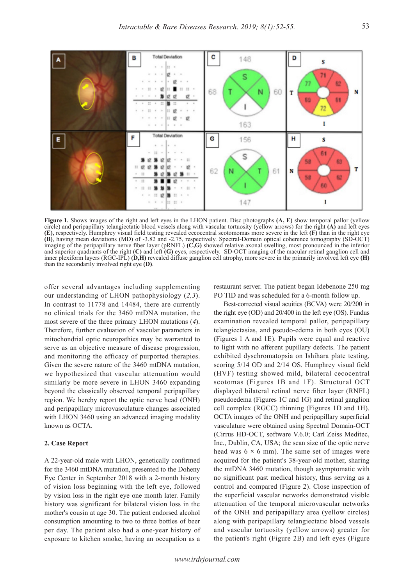

**Figure 1.** Shows images of the right and left eyes in the LHON patient. Disc photographs **(A, E)** show temporal pallor (yellow circle) and peripapillary telangiectatic blood vessels along with vascular tortuosity (yellow arrows) for the right **(A)** and left eyes **(E)**, respectively. Humphrey visual field testing revealed cecocentral scotomomas more severe in the left **(F)** than in the right eye **(B)**, having mean deviations (MD) of -3.82 and -2.75, respectively. Spectral-Domain optical coherence tomography (SD-OCT) imaging of the peripapillary nerve fiber layer (pRNFL) **(C,G)** showed relative axonal swelling, most pronounced in the inferior and superior quadrants of the right **(C)** and left **(G)** eyes, respectively. SD-OCT imaging of the macular retinal ganglion cell and inner plexiform layers (RGC-IPL) **(D,H)** revealed diffuse ganglion cell atrophy, more severe in the primarily involved left eye **(H)**  than the secondarily involved right eye **(D)**.

offer several advantages including supplementing our understanding of LHON pathophysiology (*2,3*). In contrast to 11778 and 14484, there are currently no clinical trials for the 3460 mtDNA mutation, the most severe of the three primary LHON mutations (*4*). Therefore, further evaluation of vascular parameters in mitochondrial optic neuropathies may be warranted to serve as an objective measure of disease progression, and monitoring the efficacy of purported therapies. Given the severe nature of the 3460 mtDNA mutation, we hypothesized that vascular attenuation would similarly be more severe in LHON 3460 expanding beyond the classically observed temporal peripapillary region. We hereby report the optic nerve head (ONH) and peripapillary microvasculature changes associated with LHON 3460 using an advanced imaging modality known as OCTA.

# **2. Case Report**

A 22-year-old male with LHON, genetically confirmed for the 3460 mtDNA mutation, presented to the Doheny Eye Center in September 2018 with a 2-month history of vision loss beginning with the left eye, followed by vision loss in the right eye one month later. Family history was significant for bilateral vision loss in the mother's cousin at age 30. The patient endorsed alcohol consumption amounting to two to three bottles of beer per day. The patient also had a one-year history of exposure to kitchen smoke, having an occupation as a

restaurant server. The patient began Idebenone 250 mg PO TID and was scheduled for a 6-month follow up.

Best-corrected visual acuities (BCVA) were 20/200 in the right eye (OD) and 20/400 in the left eye (OS). Fundus examination revealed temporal pallor, peripapillary telangiectasias, and pseudo-edema in both eyes (OU) (Figures 1 A and 1E). Pupils were equal and reactive to light with no afferent pupillary defects. The patient exhibited dyschromatopsia on Ishihara plate testing, scoring 5/14 OD and 2/14 OS. Humphrey visual field (HVF) testing showed mild, bilateral cecocentral scotomas (Figures 1B and 1F). Structural OCT displayed bilateral retinal nerve fiber layer (RNFL) pseudoedema (Figures 1C and 1G) and retinal ganglion cell complex (RGCC) thinning (Figures 1D and 1H). OCTA images of the ONH and peripapillary superficial vasculature were obtained using Spectral Domain-OCT (Cirrus HD-OCT, software V.6.0; Carl Zeiss Meditec, Inc., Dublin, CA, USA; the scan size of the optic nerve head was 6 **×** 6 mm). The same set of images were acquired for the patient's 38-year-old mother, sharing the mtDNA 3460 mutation, though asymptomatic with no significant past medical history, thus serving as a control and compared (Figure 2). Close inspection of the superficial vascular networks demonstrated visible attenuation of the temporal microvascular networks of the ONH and peripapillary area (yellow circles) along with peripapillary telangiectatic blood vessels and vascular tortuosity (yellow arrows) greater for the patient's right (Figure 2B) and left eyes (Figure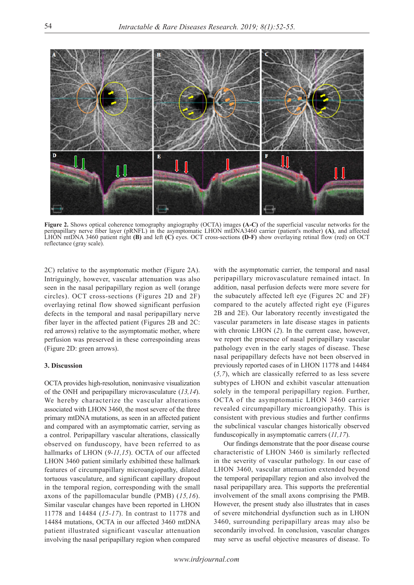

**Figure 2.** Shows optical coherence tomography angiography (OCTA) images **(A-C)** of the superficial vascular networks for the peripapillary nerve fiber layer (pRNFL) in the asymptomatic LHON mtDNA3460 carrier (patient's mother) **(A)**, and affected LHON mtDNA 3460 patient right **(B)** and left **(C)** eyes. OCT cross-sections **(D-F)** show overlaying retinal flow (red) on OCT reflectance (gray scale).

2C) relative to the asymptomatic mother (Figure 2A). Intriguingly, however, vascular attenuation was also seen in the nasal peripapillary region as well (orange circles). OCT cross-sections (Figures 2D and 2F) overlaying retinal flow showed significant perfusion defects in the temporal and nasal peripapillary nerve fiber layer in the affected patient (Figures 2B and 2C: red arrows) relative to the asymptomatic mother, where perfusion was preserved in these correspoinding areas (Figure 2D: green arrows).

### **3. Discussion**

OCTA provides high-resolution, noninvasive visualization of the ONH and peripapillary microvasculature (*13,14*). We hereby characterize the vascular alterations associated with LHON 3460, the most severe of the three primary mtDNA mutations, as seen in an affected patient and compared with an asymptomatic carrier, serving as a control. Peripapillary vascular alterations, classically observed on funduscopy, have been referred to as hallmarks of LHON (*9-11,15*). OCTA of our affected LHON 3460 patient similarly exhibitted these hallmark features of circumpapillary microangiopathy, dilated tortuous vasculature, and significant capillary dropout in the temporal region, corresponding with the small axons of the papillomacular bundle (PMB) (*15,16*). Similar vascular changes have been reported in LHON 11778 and 14484 (*15-17*). In contrast to 11778 and 14484 mutations, OCTA in our affected 3460 mtDNA patient illustrated significant vascular attenuation involving the nasal peripapillary region when compared

with the asymptomatic carrier, the temporal and nasal peripapillary microvasculature remained intact. In addition, nasal perfusion defects were more severe for the subacutely affected left eye (Figures 2C and 2F) compared to the acutely affected right eye (Figures 2B and 2E). Our laboratory recently investigated the vascular parameters in late disease stages in patients with chronic LHON (*2*). In the current case, however, we report the presence of nasal peripapillary vascular pathology even in the early stages of disease. These nasal peripapillary defects have not been observed in previously reported cases of in LHON 11778 and 14484 (*5,7*), which are classically referred to as less severe subtypes of LHON and exhibit vascular attenuation solely in the temporal peripapillary region. Further, OCTA of the asymptomatic LHON 3460 carrier revealed circumpapillary microangiopathy. This is consistent with previous studies and further confirms the subclinical vascular changes historically observed funduscopically in asymptomatic carrers (*11,17*).

Our findings demonstrate that the poor disease course characteristic of LHON 3460 is similarly reflected in the severity of vascular pathology. In our case of LHON 3460, vascular attenuation extended beyond the temporal peripapillary region and also involved the nasal peripapillary area. This supports the preferential involvement of the small axons comprising the PMB. However, the present study also illustrates that in cases of severe mitchondrial dysfunction such as in LHON 3460, surrounding peripapillary areas may also be secondarily involved. In conclusion, vascular changes may serve as useful objective measures of disease. To